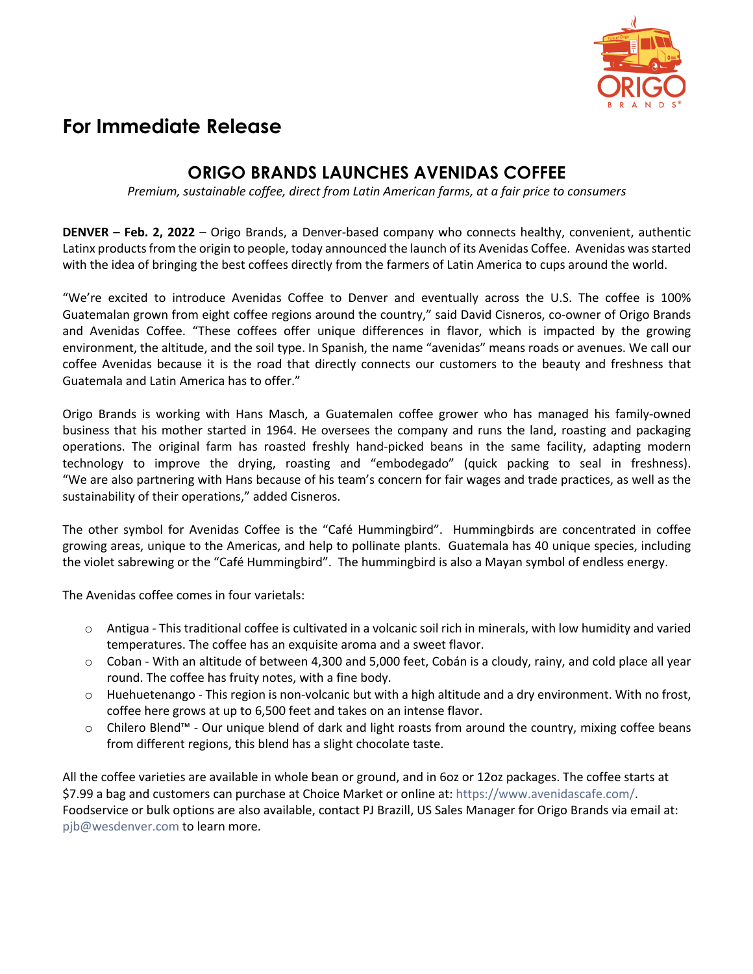

## **For Immediate Release**

## **ORIGO BRANDS LAUNCHES AVENIDAS COFFEE**

*Premium, sustainable coffee, direct from Latin American farms, at a fair price to consumers*

**DENVER – Feb. 2, 2022** – Origo Brands, a Denver-based company who connects healthy, convenient, authentic Latinx products from the origin to people, today announced the launch of its Avenidas Coffee. Avenidas was started with the idea of bringing the best coffees directly from the farmers of Latin America to cups around the world.

"We're excited to introduce Avenidas Coffee to Denver and eventually across the U.S. The coffee is 100% Guatemalan grown from eight coffee regions around the country," said David Cisneros, co-owner of Origo Brands and Avenidas Coffee. "These coffees offer unique differences in flavor, which is impacted by the growing environment, the altitude, and the soil type. In Spanish, the name "avenidas" means roads or avenues. We call our coffee Avenidas because it is the road that directly connects our customers to the beauty and freshness that Guatemala and Latin America has to offer."

Origo Brands is working with Hans Masch, a Guatemalen coffee grower who has managed his family-owned business that his mother started in 1964. He oversees the company and runs the land, roasting and packaging operations. The original farm has roasted freshly hand-picked beans in the same facility, adapting modern technology to improve the drying, roasting and "embodegado" (quick packing to seal in freshness). "We are also partnering with Hans because of his team's concern for fair wages and trade practices, as well as the sustainability of their operations," added Cisneros.

The other symbol for Avenidas Coffee is the "Café Hummingbird". Hummingbirds are concentrated in coffee growing areas, unique to the Americas, and help to pollinate plants. Guatemala has 40 unique species, including the violet sabrewing or the "Café Hummingbird". The hummingbird is also a Mayan symbol of endless energy.

The Avenidas coffee comes in four varietals:

- $\circ$  Antigua This traditional coffee is cultivated in a volcanic soil rich in minerals, with low humidity and varied temperatures. The coffee has an exquisite aroma and a sweet flavor.
- o Coban With an altitude of between 4,300 and 5,000 feet, Cobán is a cloudy, rainy, and cold place all year round. The coffee has fruity notes, with a fine body.
- $\circ$  Huehuetenango This region is non-volcanic but with a high altitude and a dry environment. With no frost, coffee here grows at up to 6,500 feet and takes on an intense flavor.
- o Chilero Blend™ Our unique blend of dark and light roasts from around the country, mixing coffee beans from different regions, this blend has a slight chocolate taste.

All the coffee varieties are available in whole bean or ground, and in 6oz or 12oz packages. The coffee starts at \$7.99 a bag and customers can purchase at Choice Market or online at: https://www.avenidascafe.com/. Foodservice or bulk options are also available, contact PJ Brazill, US Sales Manager for Origo Brands via email at: pjb@wesdenver.com to learn more.